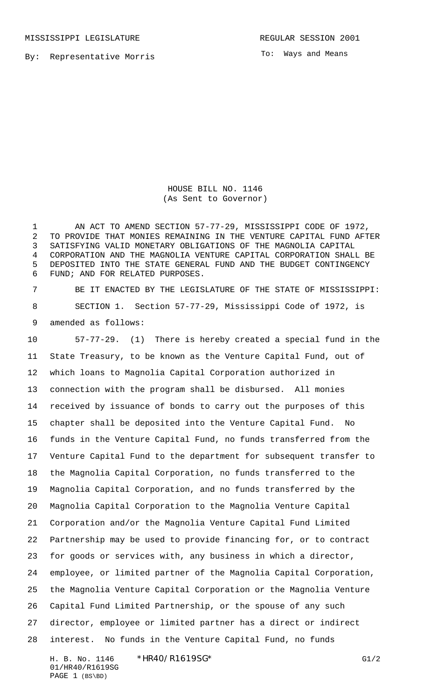MISSISSIPPI LEGISLATURE **REGULAR SESSION 2001** 

By: Representative Morris

To: Ways and Means

HOUSE BILL NO. 1146 (As Sent to Governor)

1 AN ACT TO AMEND SECTION 57-77-29, MISSISSIPPI CODE OF 1972, TO PROVIDE THAT MONIES REMAINING IN THE VENTURE CAPITAL FUND AFTER SATISFYING VALID MONETARY OBLIGATIONS OF THE MAGNOLIA CAPITAL CORPORATION AND THE MAGNOLIA VENTURE CAPITAL CORPORATION SHALL BE DEPOSITED INTO THE STATE GENERAL FUND AND THE BUDGET CONTINGENCY FUND; AND FOR RELATED PURPOSES.

 BE IT ENACTED BY THE LEGISLATURE OF THE STATE OF MISSISSIPPI: SECTION 1. Section 57-77-29, Mississippi Code of 1972, is amended as follows:

 57-77-29. (1) There is hereby created a special fund in the State Treasury, to be known as the Venture Capital Fund, out of which loans to Magnolia Capital Corporation authorized in connection with the program shall be disbursed. All monies received by issuance of bonds to carry out the purposes of this chapter shall be deposited into the Venture Capital Fund. No funds in the Venture Capital Fund, no funds transferred from the Venture Capital Fund to the department for subsequent transfer to the Magnolia Capital Corporation, no funds transferred to the Magnolia Capital Corporation, and no funds transferred by the Magnolia Capital Corporation to the Magnolia Venture Capital Corporation and/or the Magnolia Venture Capital Fund Limited Partnership may be used to provide financing for, or to contract for goods or services with, any business in which a director, employee, or limited partner of the Magnolia Capital Corporation, the Magnolia Venture Capital Corporation or the Magnolia Venture Capital Fund Limited Partnership, or the spouse of any such director, employee or limited partner has a direct or indirect interest. No funds in the Venture Capital Fund, no funds

H. B. No. 1146 \*HR40/R1619SG\* G1/2 01/HR40/R1619SG PAGE 1 (BS\BD)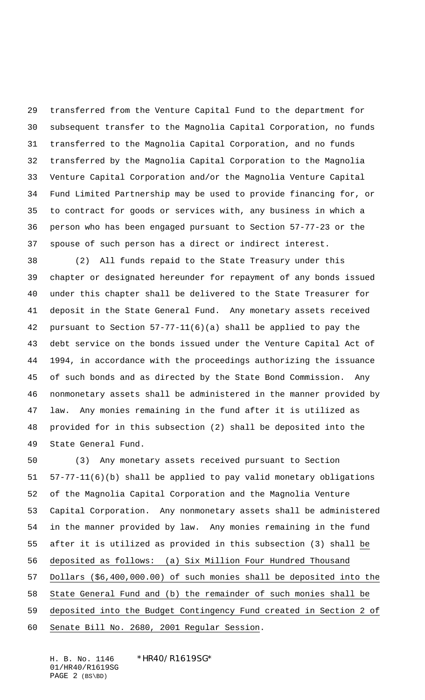transferred from the Venture Capital Fund to the department for subsequent transfer to the Magnolia Capital Corporation, no funds transferred to the Magnolia Capital Corporation, and no funds transferred by the Magnolia Capital Corporation to the Magnolia Venture Capital Corporation and/or the Magnolia Venture Capital Fund Limited Partnership may be used to provide financing for, or to contract for goods or services with, any business in which a person who has been engaged pursuant to Section 57-77-23 or the spouse of such person has a direct or indirect interest.

 (2) All funds repaid to the State Treasury under this chapter or designated hereunder for repayment of any bonds issued under this chapter shall be delivered to the State Treasurer for deposit in the State General Fund. Any monetary assets received pursuant to Section 57-77-11(6)(a) shall be applied to pay the debt service on the bonds issued under the Venture Capital Act of 1994, in accordance with the proceedings authorizing the issuance of such bonds and as directed by the State Bond Commission. Any nonmonetary assets shall be administered in the manner provided by law. Any monies remaining in the fund after it is utilized as provided for in this subsection (2) shall be deposited into the State General Fund.

 (3) Any monetary assets received pursuant to Section 57-77-11(6)(b) shall be applied to pay valid monetary obligations of the Magnolia Capital Corporation and the Magnolia Venture Capital Corporation. Any nonmonetary assets shall be administered in the manner provided by law. Any monies remaining in the fund after it is utilized as provided in this subsection (3) shall be deposited as follows: (a) Six Million Four Hundred Thousand Dollars (\$6,400,000.00) of such monies shall be deposited into the State General Fund and (b) the remainder of such monies shall be deposited into the Budget Contingency Fund created in Section 2 of Senate Bill No. 2680, 2001 Regular Session.

H. B. No. 1146 \*HR40/R1619SG\* 01/HR40/R1619SG PAGE 2 (BS\BD)